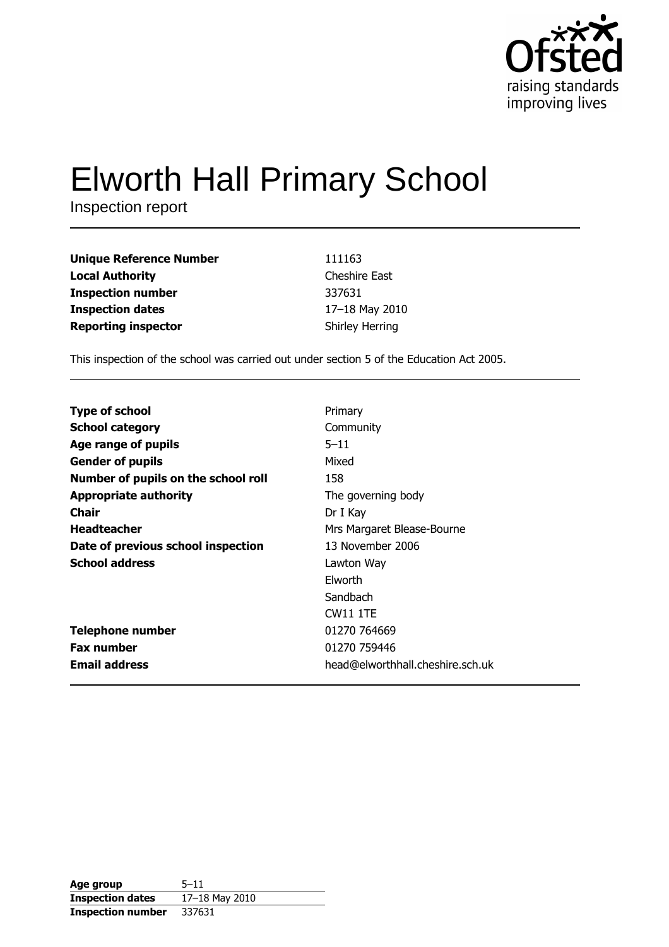

# **Elworth Hall Primary School**

Inspection report

| <b>Unique Reference Number</b> | 111163                 |
|--------------------------------|------------------------|
| <b>Local Authority</b>         | <b>Cheshire East</b>   |
| <b>Inspection number</b>       | 337631                 |
| <b>Inspection dates</b>        | 17-18 May 2010         |
| <b>Reporting inspector</b>     | <b>Shirley Herring</b> |

This inspection of the school was carried out under section 5 of the Education Act 2005.

| <b>Type of school</b>               | Primary                          |
|-------------------------------------|----------------------------------|
| <b>School category</b>              | Community                        |
| Age range of pupils                 | $5 - 11$                         |
| <b>Gender of pupils</b>             | Mixed                            |
| Number of pupils on the school roll | 158                              |
| <b>Appropriate authority</b>        | The governing body               |
| Chair                               | Dr I Kay                         |
| <b>Headteacher</b>                  | Mrs Margaret Blease-Bourne       |
| Date of previous school inspection  | 13 November 2006                 |
| <b>School address</b>               | Lawton Way                       |
|                                     | <b>Elworth</b>                   |
|                                     | Sandbach                         |
|                                     | <b>CW11 1TE</b>                  |
| <b>Telephone number</b>             | 01270 764669                     |
| <b>Fax number</b>                   | 01270 759446                     |
| <b>Email address</b>                | head@elworthhall.cheshire.sch.uk |

| Age group                | $5 - 11$       |
|--------------------------|----------------|
| <b>Inspection dates</b>  | 17-18 May 2010 |
| <b>Inspection number</b> | 337631         |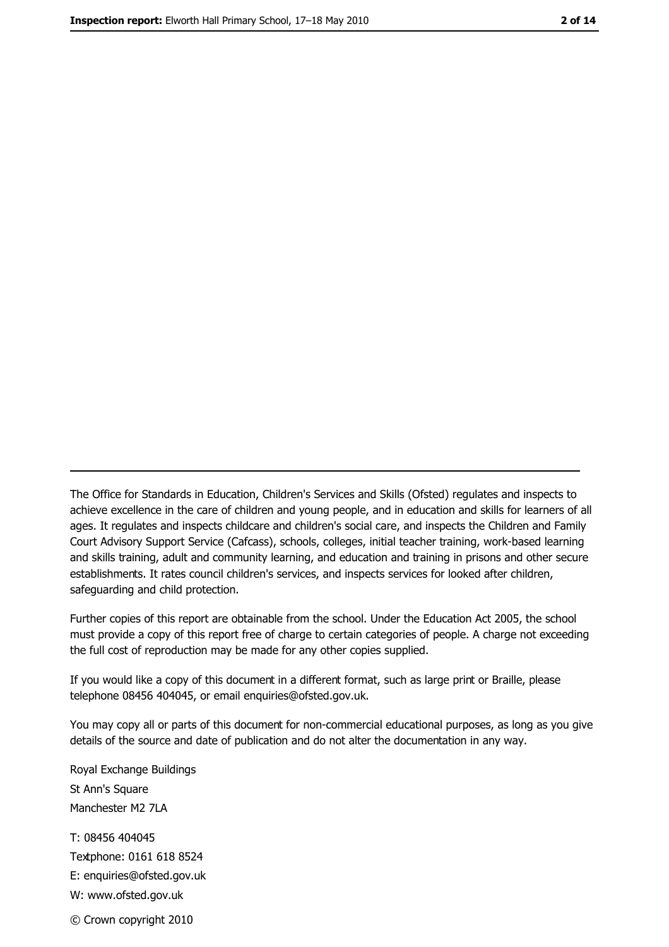The Office for Standards in Education, Children's Services and Skills (Ofsted) regulates and inspects to achieve excellence in the care of children and young people, and in education and skills for learners of all ages. It regulates and inspects childcare and children's social care, and inspects the Children and Family Court Advisory Support Service (Cafcass), schools, colleges, initial teacher training, work-based learning and skills training, adult and community learning, and education and training in prisons and other secure establishments. It rates council children's services, and inspects services for looked after children, safequarding and child protection.

Further copies of this report are obtainable from the school. Under the Education Act 2005, the school must provide a copy of this report free of charge to certain categories of people. A charge not exceeding the full cost of reproduction may be made for any other copies supplied.

If you would like a copy of this document in a different format, such as large print or Braille, please telephone 08456 404045, or email enquiries@ofsted.gov.uk.

You may copy all or parts of this document for non-commercial educational purposes, as long as you give details of the source and date of publication and do not alter the documentation in any way.

Royal Exchange Buildings St Ann's Square Manchester M2 7LA T: 08456 404045 Textphone: 0161 618 8524 E: enquiries@ofsted.gov.uk W: www.ofsted.gov.uk

© Crown copyright 2010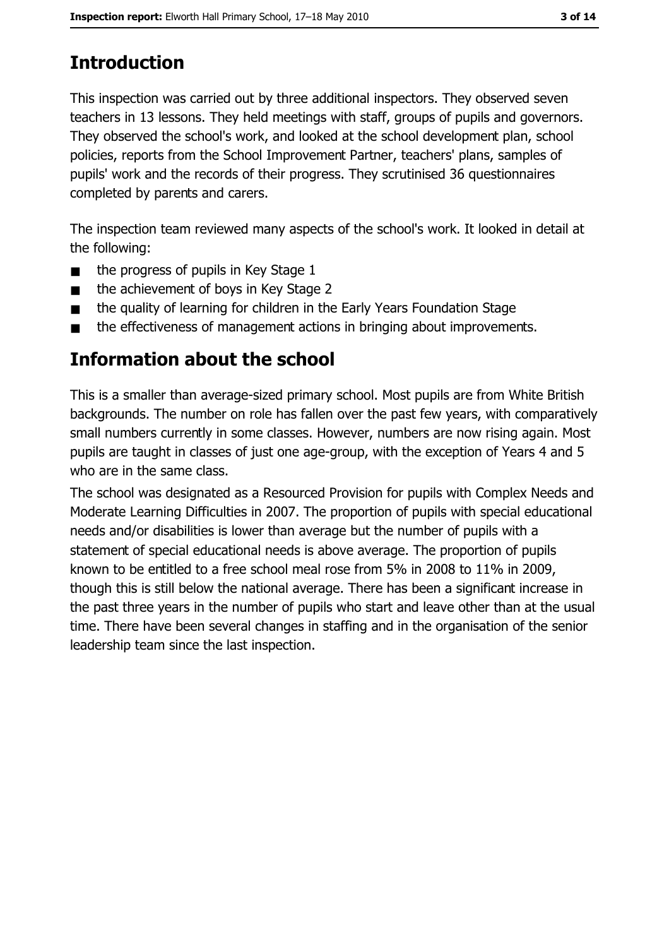# **Introduction**

This inspection was carried out by three additional inspectors. They observed seven teachers in 13 lessons. They held meetings with staff, groups of pupils and governors. They observed the school's work, and looked at the school development plan, school policies, reports from the School Improvement Partner, teachers' plans, samples of pupils' work and the records of their progress. They scrutinised 36 questionnaires completed by parents and carers.

The inspection team reviewed many aspects of the school's work. It looked in detail at the following:

- the progress of pupils in Key Stage 1  $\blacksquare$
- the achievement of boys in Key Stage 2  $\blacksquare$
- the quality of learning for children in the Early Years Foundation Stage  $\blacksquare$
- the effectiveness of management actions in bringing about improvements.  $\blacksquare$

# **Information about the school**

This is a smaller than average-sized primary school. Most pupils are from White British backgrounds. The number on role has fallen over the past few years, with comparatively small numbers currently in some classes. However, numbers are now rising again. Most pupils are taught in classes of just one age-group, with the exception of Years 4 and 5 who are in the same class.

The school was designated as a Resourced Provision for pupils with Complex Needs and Moderate Learning Difficulties in 2007. The proportion of pupils with special educational needs and/or disabilities is lower than average but the number of pupils with a statement of special educational needs is above average. The proportion of pupils known to be entitled to a free school meal rose from 5% in 2008 to 11% in 2009, though this is still below the national average. There has been a significant increase in the past three years in the number of pupils who start and leave other than at the usual time. There have been several changes in staffing and in the organisation of the senior leadership team since the last inspection.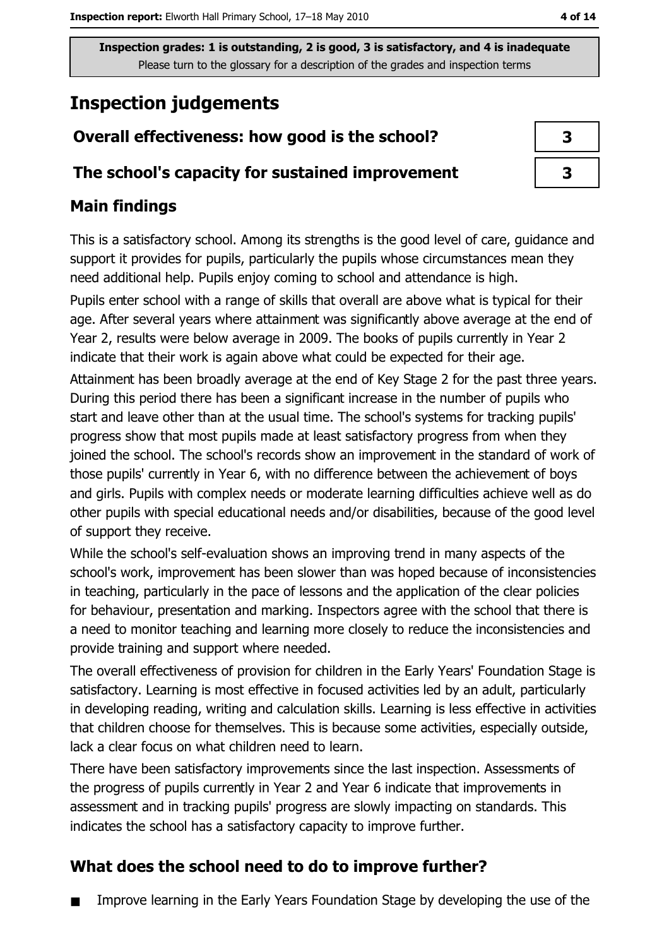# **Inspection judgements**

# Overall effectiveness: how good is the school?

### The school's capacity for sustained improvement

# **Main findings**

This is a satisfactory school. Among its strengths is the good level of care, guidance and support it provides for pupils, particularly the pupils whose circumstances mean they need additional help. Pupils enjoy coming to school and attendance is high.

Pupils enter school with a range of skills that overall are above what is typical for their age. After several years where attainment was significantly above average at the end of Year 2, results were below average in 2009. The books of pupils currently in Year 2 indicate that their work is again above what could be expected for their age.

Attainment has been broadly average at the end of Key Stage 2 for the past three years. During this period there has been a significant increase in the number of pupils who start and leave other than at the usual time. The school's systems for tracking pupils' progress show that most pupils made at least satisfactory progress from when they joined the school. The school's records show an improvement in the standard of work of those pupils' currently in Year 6, with no difference between the achievement of boys and girls. Pupils with complex needs or moderate learning difficulties achieve well as do other pupils with special educational needs and/or disabilities, because of the good level of support they receive.

While the school's self-evaluation shows an improving trend in many aspects of the school's work, improvement has been slower than was hoped because of inconsistencies in teaching, particularly in the pace of lessons and the application of the clear policies for behaviour, presentation and marking. Inspectors agree with the school that there is a need to monitor teaching and learning more closely to reduce the inconsistencies and provide training and support where needed.

The overall effectiveness of provision for children in the Early Years' Foundation Stage is satisfactory. Learning is most effective in focused activities led by an adult, particularly in developing reading, writing and calculation skills. Learning is less effective in activities that children choose for themselves. This is because some activities, especially outside, lack a clear focus on what children need to learn.

There have been satisfactory improvements since the last inspection. Assessments of the progress of pupils currently in Year 2 and Year 6 indicate that improvements in assessment and in tracking pupils' progress are slowly impacting on standards. This indicates the school has a satisfactory capacity to improve further.

## What does the school need to do to improve further?

Improve learning in the Early Years Foundation Stage by developing the use of the

| 3 |  |
|---|--|
| 3 |  |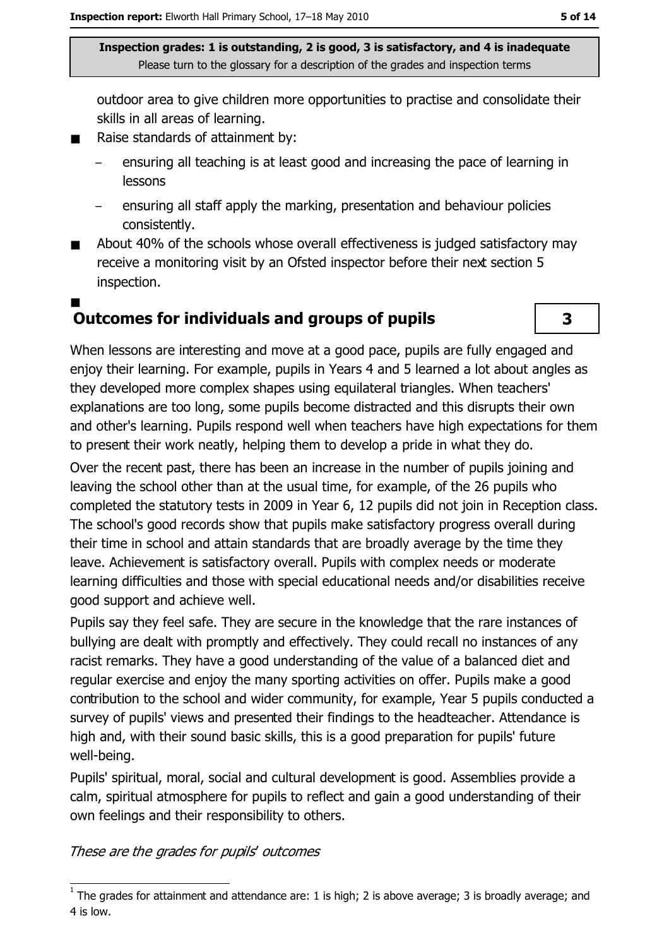outdoor area to give children more opportunities to practise and consolidate their skills in all areas of learning.

- Raise standards of attainment by:  $\blacksquare$ 
	- ensuring all teaching is at least good and increasing the pace of learning in lessons
	- ensuring all staff apply the marking, presentation and behaviour policies consistently.
- About 40% of the schools whose overall effectiveness is judged satisfactory may  $\blacksquare$ receive a monitoring visit by an Ofsted inspector before their next section 5 inspection.
- **Outcomes for individuals and groups of pupils**



When lessons are interesting and move at a good pace, pupils are fully engaged and enjoy their learning. For example, pupils in Years 4 and 5 learned a lot about angles as they developed more complex shapes using equilateral triangles. When teachers' explanations are too long, some pupils become distracted and this disrupts their own and other's learning. Pupils respond well when teachers have high expectations for them to present their work neatly, helping them to develop a pride in what they do.

Over the recent past, there has been an increase in the number of pupils joining and leaving the school other than at the usual time, for example, of the 26 pupils who completed the statutory tests in 2009 in Year 6, 12 pupils did not join in Reception class. The school's good records show that pupils make satisfactory progress overall during their time in school and attain standards that are broadly average by the time they leave. Achievement is satisfactory overall. Pupils with complex needs or moderate learning difficulties and those with special educational needs and/or disabilities receive good support and achieve well.

Pupils say they feel safe. They are secure in the knowledge that the rare instances of bullying are dealt with promptly and effectively. They could recall no instances of any racist remarks. They have a good understanding of the value of a balanced diet and regular exercise and enjoy the many sporting activities on offer. Pupils make a good contribution to the school and wider community, for example, Year 5 pupils conducted a survey of pupils' views and presented their findings to the headteacher. Attendance is high and, with their sound basic skills, this is a good preparation for pupils' future well-being.

Pupils' spiritual, moral, social and cultural development is good. Assemblies provide a calm, spiritual atmosphere for pupils to reflect and gain a good understanding of their own feelings and their responsibility to others.

These are the grades for pupils' outcomes

 $\frac{1}{1}$  The grades for attainment and attendance are: 1 is high; 2 is above average; 3 is broadly average; and 4 is low.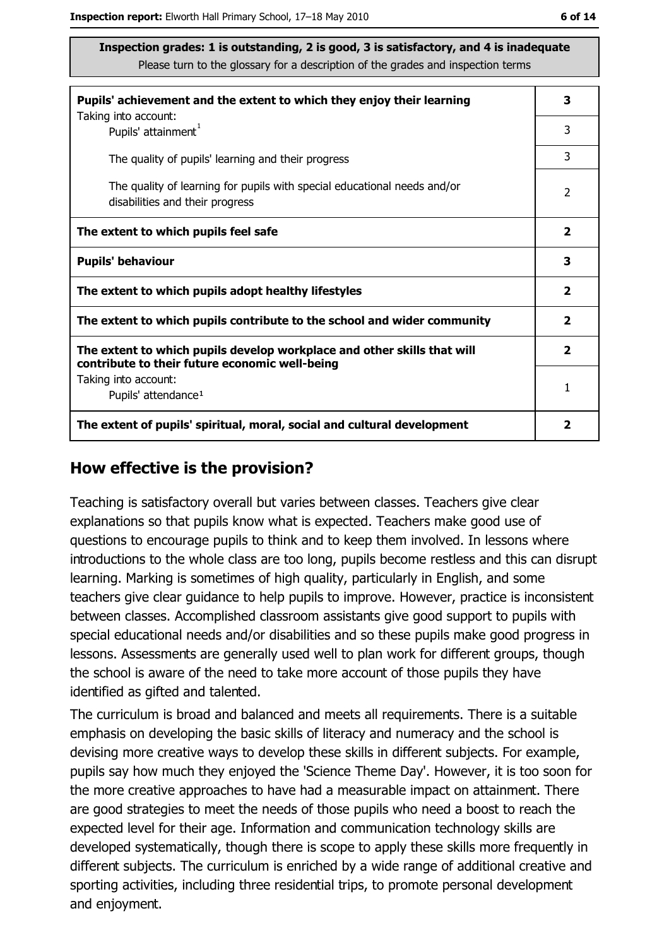| Pupils' achievement and the extent to which they enjoy their learning                                                     |                         |
|---------------------------------------------------------------------------------------------------------------------------|-------------------------|
| Taking into account:<br>Pupils' attainment <sup>1</sup>                                                                   | 3                       |
| The quality of pupils' learning and their progress                                                                        | 3                       |
| The quality of learning for pupils with special educational needs and/or<br>disabilities and their progress               | $\overline{2}$          |
| The extent to which pupils feel safe                                                                                      | $\overline{\mathbf{2}}$ |
| <b>Pupils' behaviour</b>                                                                                                  | 3                       |
| The extent to which pupils adopt healthy lifestyles                                                                       | 2                       |
| The extent to which pupils contribute to the school and wider community                                                   |                         |
| The extent to which pupils develop workplace and other skills that will<br>contribute to their future economic well-being | $\overline{\mathbf{2}}$ |
| Taking into account:                                                                                                      | 1                       |
| Pupils' attendance <sup>1</sup>                                                                                           |                         |
| The extent of pupils' spiritual, moral, social and cultural development                                                   | 2                       |

#### How effective is the provision?

Teaching is satisfactory overall but varies between classes. Teachers give clear explanations so that pupils know what is expected. Teachers make good use of questions to encourage pupils to think and to keep them involved. In lessons where introductions to the whole class are too long, pupils become restless and this can disrupt learning. Marking is sometimes of high quality, particularly in English, and some teachers give clear quidance to help pupils to improve. However, practice is inconsistent between classes. Accomplished classroom assistants give good support to pupils with special educational needs and/or disabilities and so these pupils make good progress in lessons. Assessments are generally used well to plan work for different groups, though the school is aware of the need to take more account of those pupils they have identified as gifted and talented.

The curriculum is broad and balanced and meets all requirements. There is a suitable emphasis on developing the basic skills of literacy and numeracy and the school is devising more creative ways to develop these skills in different subjects. For example, pupils say how much they enjoyed the 'Science Theme Day'. However, it is too soon for the more creative approaches to have had a measurable impact on attainment. There are good strategies to meet the needs of those pupils who need a boost to reach the expected level for their age. Information and communication technology skills are developed systematically, though there is scope to apply these skills more frequently in different subjects. The curriculum is enriched by a wide range of additional creative and sporting activities, including three residential trips, to promote personal development and enjoyment.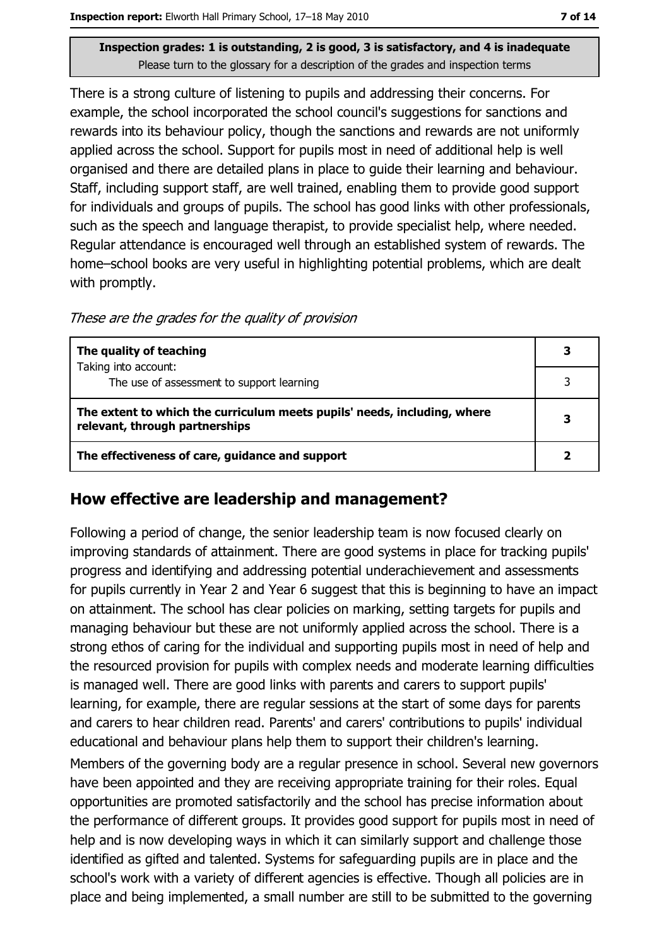There is a strong culture of listening to pupils and addressing their concerns. For example, the school incorporated the school council's suggestions for sanctions and rewards into its behaviour policy, though the sanctions and rewards are not uniformly applied across the school. Support for pupils most in need of additional help is well organised and there are detailed plans in place to quide their learning and behaviour. Staff, including support staff, are well trained, enabling them to provide good support for individuals and groups of pupils. The school has good links with other professionals, such as the speech and language therapist, to provide specialist help, where needed. Regular attendance is encouraged well through an established system of rewards. The home-school books are very useful in highlighting potential problems, which are dealt with promptly.

These are the grades for the quality of provision

| The quality of teaching                                                                                    | З |
|------------------------------------------------------------------------------------------------------------|---|
| Taking into account:<br>The use of assessment to support learning                                          |   |
|                                                                                                            |   |
| The extent to which the curriculum meets pupils' needs, including, where<br>relevant, through partnerships |   |
| The effectiveness of care, guidance and support                                                            |   |

### How effective are leadership and management?

Following a period of change, the senior leadership team is now focused clearly on improving standards of attainment. There are good systems in place for tracking pupils' progress and identifying and addressing potential underachievement and assessments for pupils currently in Year 2 and Year 6 suggest that this is beginning to have an impact on attainment. The school has clear policies on marking, setting targets for pupils and managing behaviour but these are not uniformly applied across the school. There is a strong ethos of caring for the individual and supporting pupils most in need of help and the resourced provision for pupils with complex needs and moderate learning difficulties is managed well. There are good links with parents and carers to support pupils' learning, for example, there are regular sessions at the start of some days for parents and carers to hear children read. Parents' and carers' contributions to pupils' individual educational and behaviour plans help them to support their children's learning.

Members of the governing body are a regular presence in school. Several new governors have been appointed and they are receiving appropriate training for their roles. Equal opportunities are promoted satisfactorily and the school has precise information about the performance of different groups. It provides good support for pupils most in need of help and is now developing ways in which it can similarly support and challenge those identified as gifted and talented. Systems for safeguarding pupils are in place and the school's work with a variety of different agencies is effective. Though all policies are in place and being implemented, a small number are still to be submitted to the governing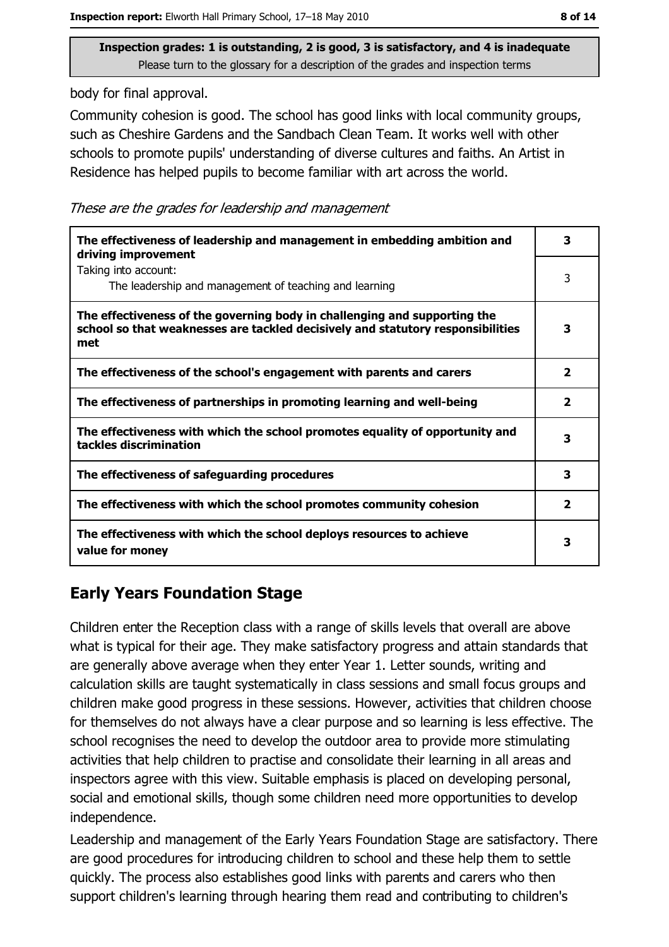body for final approval.

Community cohesion is good. The school has good links with local community groups, such as Cheshire Gardens and the Sandbach Clean Team. It works well with other schools to promote pupils' understanding of diverse cultures and faiths. An Artist in Residence has helped pupils to become familiar with art across the world.

These are the grades for leadership and management

| The effectiveness of leadership and management in embedding ambition and<br>driving improvement                                                                     | 3                       |
|---------------------------------------------------------------------------------------------------------------------------------------------------------------------|-------------------------|
| Taking into account:<br>The leadership and management of teaching and learning                                                                                      | 3                       |
| The effectiveness of the governing body in challenging and supporting the<br>school so that weaknesses are tackled decisively and statutory responsibilities<br>met | 3                       |
| The effectiveness of the school's engagement with parents and carers                                                                                                | $\overline{\mathbf{2}}$ |
| The effectiveness of partnerships in promoting learning and well-being                                                                                              | $\overline{\mathbf{2}}$ |
| The effectiveness with which the school promotes equality of opportunity and<br>tackles discrimination                                                              | з                       |
| The effectiveness of safeguarding procedures                                                                                                                        | 3                       |
| The effectiveness with which the school promotes community cohesion                                                                                                 | 2                       |
| The effectiveness with which the school deploys resources to achieve<br>value for money                                                                             | 3                       |

# **Early Years Foundation Stage**

Children enter the Reception class with a range of skills levels that overall are above what is typical for their age. They make satisfactory progress and attain standards that are generally above average when they enter Year 1. Letter sounds, writing and calculation skills are taught systematically in class sessions and small focus groups and children make good progress in these sessions. However, activities that children choose for themselves do not always have a clear purpose and so learning is less effective. The school recognises the need to develop the outdoor area to provide more stimulating activities that help children to practise and consolidate their learning in all areas and inspectors agree with this view. Suitable emphasis is placed on developing personal, social and emotional skills, though some children need more opportunities to develop independence.

Leadership and management of the Early Years Foundation Stage are satisfactory. There are good procedures for introducing children to school and these help them to settle quickly. The process also establishes good links with parents and carers who then support children's learning through hearing them read and contributing to children's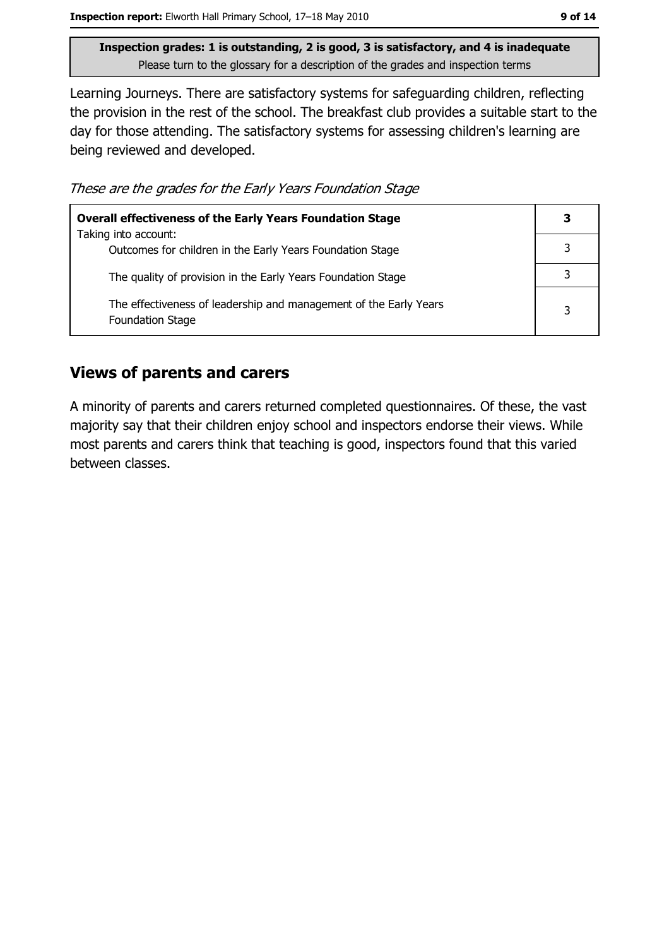Learning Journeys. There are satisfactory systems for safeguarding children, reflecting the provision in the rest of the school. The breakfast club provides a suitable start to the day for those attending. The satisfactory systems for assessing children's learning are being reviewed and developed.

These are the grades for the Early Years Foundation Stage

| <b>Overall effectiveness of the Early Years Foundation Stage</b>                             | 3 |
|----------------------------------------------------------------------------------------------|---|
| Taking into account:<br>Outcomes for children in the Early Years Foundation Stage            |   |
| The quality of provision in the Early Years Foundation Stage                                 |   |
| The effectiveness of leadership and management of the Early Years<br><b>Foundation Stage</b> | 3 |

### **Views of parents and carers**

A minority of parents and carers returned completed questionnaires. Of these, the vast majority say that their children enjoy school and inspectors endorse their views. While most parents and carers think that teaching is good, inspectors found that this varied between classes.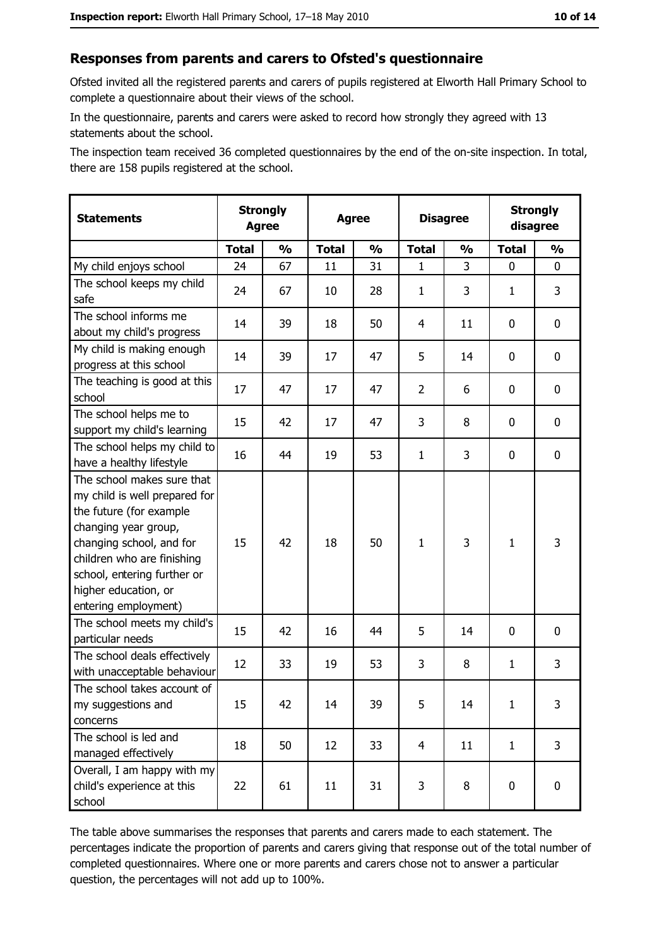#### Responses from parents and carers to Ofsted's questionnaire

Ofsted invited all the registered parents and carers of pupils registered at Elworth Hall Primary School to complete a questionnaire about their views of the school.

In the questionnaire, parents and carers were asked to record how strongly they agreed with 13 statements about the school.

The inspection team received 36 completed questionnaires by the end of the on-site inspection. In total, there are 158 pupils registered at the school.

| <b>Statements</b>                                                                                                                                                                                                                                       | <b>Strongly</b><br><b>Agree</b> |               | <b>Agree</b> |               | <b>Disagree</b> |               | <b>Strongly</b><br>disagree |               |
|---------------------------------------------------------------------------------------------------------------------------------------------------------------------------------------------------------------------------------------------------------|---------------------------------|---------------|--------------|---------------|-----------------|---------------|-----------------------------|---------------|
|                                                                                                                                                                                                                                                         | <b>Total</b>                    | $\frac{1}{2}$ | <b>Total</b> | $\frac{0}{0}$ | <b>Total</b>    | $\frac{0}{0}$ | <b>Total</b>                | $\frac{0}{0}$ |
| My child enjoys school                                                                                                                                                                                                                                  | 24                              | 67            | 11           | 31            | 1               | 3             | 0                           | 0             |
| The school keeps my child<br>safe                                                                                                                                                                                                                       | 24                              | 67            | 10           | 28            | $\mathbf{1}$    | 3             | 1                           | 3             |
| The school informs me<br>about my child's progress                                                                                                                                                                                                      | 14                              | 39            | 18           | 50            | 4               | 11            | 0                           | 0             |
| My child is making enough<br>progress at this school                                                                                                                                                                                                    | 14                              | 39            | 17           | 47            | 5               | 14            | 0                           | 0             |
| The teaching is good at this<br>school                                                                                                                                                                                                                  | 17                              | 47            | 17           | 47            | $\overline{2}$  | 6             | 0                           | 0             |
| The school helps me to<br>support my child's learning                                                                                                                                                                                                   | 15                              | 42            | 17           | 47            | 3               | 8             | 0                           | 0             |
| The school helps my child to<br>have a healthy lifestyle                                                                                                                                                                                                | 16                              | 44            | 19           | 53            | $\mathbf{1}$    | 3             | 0                           | 0             |
| The school makes sure that<br>my child is well prepared for<br>the future (for example<br>changing year group,<br>changing school, and for<br>children who are finishing<br>school, entering further or<br>higher education, or<br>entering employment) | 15                              | 42            | 18           | 50            | $\mathbf{1}$    | 3             | $\mathbf{1}$                | 3             |
| The school meets my child's<br>particular needs                                                                                                                                                                                                         | 15                              | 42            | 16           | 44            | 5               | 14            | 0                           | 0             |
| The school deals effectively<br>with unacceptable behaviour                                                                                                                                                                                             | 12                              | 33            | 19           | 53            | 3               | 8             | $\mathbf{1}$                | 3             |
| The school takes account of<br>my suggestions and<br>concerns                                                                                                                                                                                           | 15                              | 42            | 14           | 39            | 5               | 14            | $\mathbf{1}$                | 3             |
| The school is led and<br>managed effectively                                                                                                                                                                                                            | 18                              | 50            | 12           | 33            | $\overline{4}$  | 11            | $\mathbf{1}$                | 3             |
| Overall, I am happy with my<br>child's experience at this<br>school                                                                                                                                                                                     | 22                              | 61            | 11           | 31            | 3               | 8             | $\mathbf 0$                 | 0             |

The table above summarises the responses that parents and carers made to each statement. The percentages indicate the proportion of parents and carers giving that response out of the total number of completed questionnaires. Where one or more parents and carers chose not to answer a particular question, the percentages will not add up to 100%.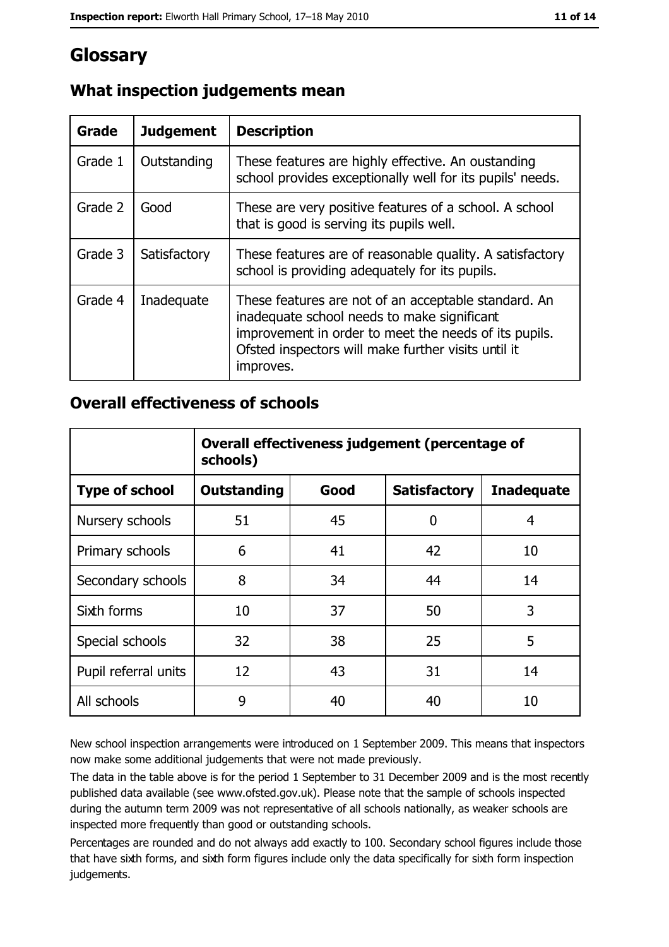# Glossary

| Grade   | <b>Judgement</b> | <b>Description</b>                                                                                                                                                                                                               |
|---------|------------------|----------------------------------------------------------------------------------------------------------------------------------------------------------------------------------------------------------------------------------|
| Grade 1 | Outstanding      | These features are highly effective. An oustanding<br>school provides exceptionally well for its pupils' needs.                                                                                                                  |
| Grade 2 | Good             | These are very positive features of a school. A school<br>that is good is serving its pupils well.                                                                                                                               |
| Grade 3 | Satisfactory     | These features are of reasonable quality. A satisfactory<br>school is providing adequately for its pupils.                                                                                                                       |
| Grade 4 | Inadequate       | These features are not of an acceptable standard. An<br>inadequate school needs to make significant<br>improvement in order to meet the needs of its pupils.<br>Ofsted inspectors will make further visits until it<br>improves. |

# What inspection judgements mean

### **Overall effectiveness of schools**

|                       | Overall effectiveness judgement (percentage of<br>schools) |      |                     |                   |
|-----------------------|------------------------------------------------------------|------|---------------------|-------------------|
| <b>Type of school</b> | <b>Outstanding</b>                                         | Good | <b>Satisfactory</b> | <b>Inadequate</b> |
| Nursery schools       | 51                                                         | 45   | 0                   | 4                 |
| Primary schools       | 6                                                          | 41   | 42                  | 10                |
| Secondary schools     | 8                                                          | 34   | 44                  | 14                |
| Sixth forms           | 10                                                         | 37   | 50                  | 3                 |
| Special schools       | 32                                                         | 38   | 25                  | 5                 |
| Pupil referral units  | 12                                                         | 43   | 31                  | 14                |
| All schools           | 9                                                          | 40   | 40                  | 10                |

New school inspection arrangements were introduced on 1 September 2009. This means that inspectors now make some additional judgements that were not made previously.

The data in the table above is for the period 1 September to 31 December 2009 and is the most recently published data available (see www.ofsted.gov.uk). Please note that the sample of schools inspected during the autumn term 2009 was not representative of all schools nationally, as weaker schools are inspected more frequently than good or outstanding schools.

Percentages are rounded and do not always add exactly to 100. Secondary school figures include those that have sixth forms, and sixth form figures include only the data specifically for sixth form inspection judgements.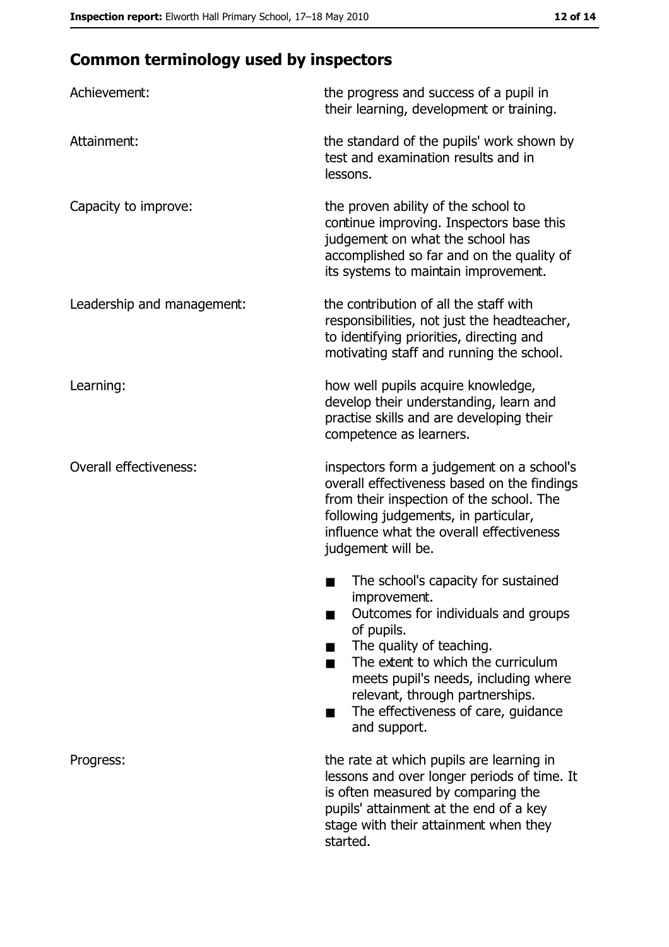# **Common terminology used by inspectors**

| Achievement:                  | the progress and success of a pupil in<br>their learning, development or training.                                                                                                                                                                                                                           |
|-------------------------------|--------------------------------------------------------------------------------------------------------------------------------------------------------------------------------------------------------------------------------------------------------------------------------------------------------------|
| Attainment:                   | the standard of the pupils' work shown by<br>test and examination results and in<br>lessons.                                                                                                                                                                                                                 |
| Capacity to improve:          | the proven ability of the school to<br>continue improving. Inspectors base this<br>judgement on what the school has<br>accomplished so far and on the quality of<br>its systems to maintain improvement.                                                                                                     |
| Leadership and management:    | the contribution of all the staff with<br>responsibilities, not just the headteacher,<br>to identifying priorities, directing and<br>motivating staff and running the school.                                                                                                                                |
| Learning:                     | how well pupils acquire knowledge,<br>develop their understanding, learn and<br>practise skills and are developing their<br>competence as learners.                                                                                                                                                          |
| <b>Overall effectiveness:</b> | inspectors form a judgement on a school's<br>overall effectiveness based on the findings<br>from their inspection of the school. The<br>following judgements, in particular,<br>influence what the overall effectiveness<br>judgement will be.                                                               |
|                               | The school's capacity for sustained<br>improvement.<br>Outcomes for individuals and groups<br>of pupils.<br>The quality of teaching.<br>The extent to which the curriculum<br>meets pupil's needs, including where<br>relevant, through partnerships.<br>The effectiveness of care, guidance<br>and support. |
| Progress:                     | the rate at which pupils are learning in<br>lessons and over longer periods of time. It<br>is often measured by comparing the<br>pupils' attainment at the end of a key<br>stage with their attainment when they<br>started.                                                                                 |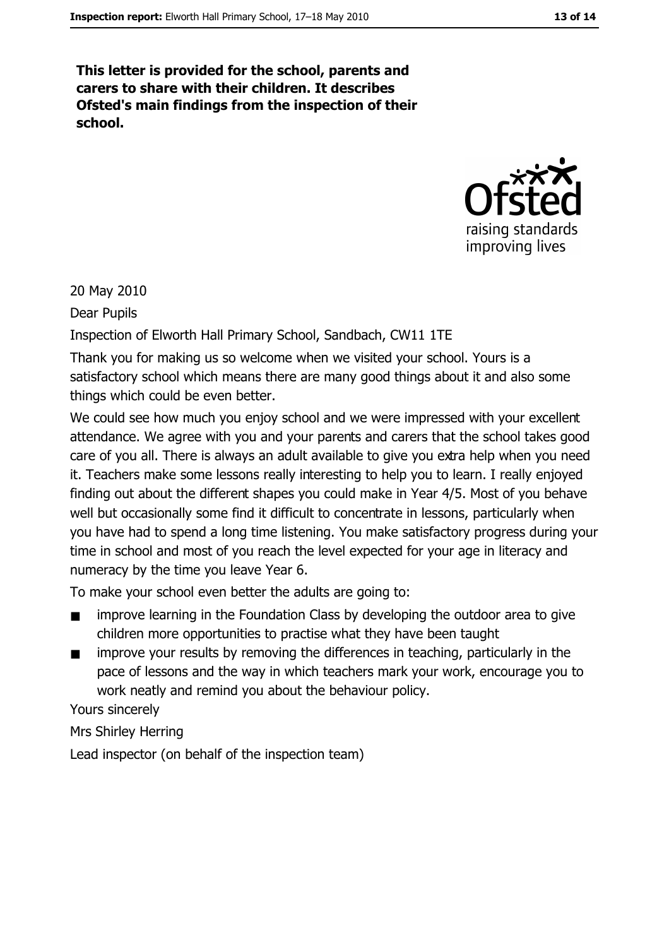This letter is provided for the school, parents and carers to share with their children. It describes Ofsted's main findings from the inspection of their school.



20 May 2010

Dear Pupils

Inspection of Elworth Hall Primary School, Sandbach, CW11 1TE

Thank you for making us so welcome when we visited your school. Yours is a satisfactory school which means there are many good things about it and also some things which could be even better.

We could see how much you enjoy school and we were impressed with your excellent attendance. We agree with you and your parents and carers that the school takes good care of you all. There is always an adult available to give you extra help when you need it. Teachers make some lessons really interesting to help you to learn. I really enjoyed finding out about the different shapes you could make in Year 4/5. Most of you behave well but occasionally some find it difficult to concentrate in lessons, particularly when you have had to spend a long time listening. You make satisfactory progress during your time in school and most of you reach the level expected for your age in literacy and numeracy by the time you leave Year 6.

To make your school even better the adults are going to:

- improve learning in the Foundation Class by developing the outdoor area to give  $\blacksquare$ children more opportunities to practise what they have been taught
- improve your results by removing the differences in teaching, particularly in the  $\blacksquare$ pace of lessons and the way in which teachers mark your work, encourage you to work neatly and remind you about the behaviour policy.

Yours sincerely

Mrs Shirley Herring

Lead inspector (on behalf of the inspection team)